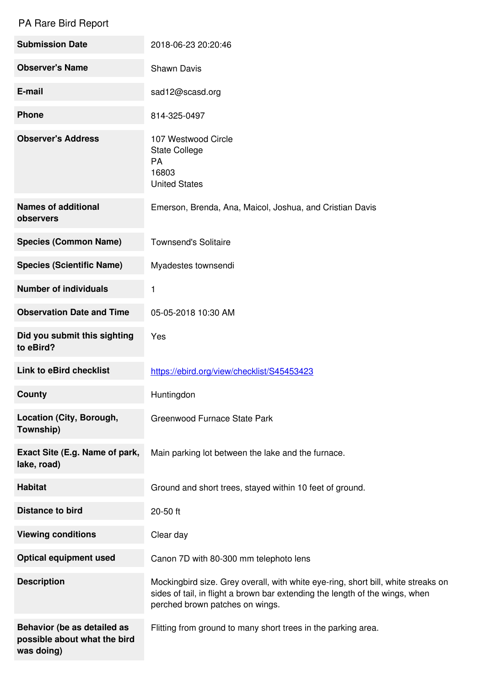## PA Rare Bird Report

| <b>Submission Date</b>                                                    | 2018-06-23 20:20:46                                                                                                                                                                                  |
|---------------------------------------------------------------------------|------------------------------------------------------------------------------------------------------------------------------------------------------------------------------------------------------|
| <b>Observer's Name</b>                                                    | <b>Shawn Davis</b>                                                                                                                                                                                   |
| E-mail                                                                    | sad12@scasd.org                                                                                                                                                                                      |
| <b>Phone</b>                                                              | 814-325-0497                                                                                                                                                                                         |
| <b>Observer's Address</b>                                                 | 107 Westwood Circle<br><b>State College</b><br><b>PA</b><br>16803<br><b>United States</b>                                                                                                            |
| <b>Names of additional</b><br>observers                                   | Emerson, Brenda, Ana, Maicol, Joshua, and Cristian Davis                                                                                                                                             |
| <b>Species (Common Name)</b>                                              | <b>Townsend's Solitaire</b>                                                                                                                                                                          |
| <b>Species (Scientific Name)</b>                                          | Myadestes townsendi                                                                                                                                                                                  |
| <b>Number of individuals</b>                                              | 1                                                                                                                                                                                                    |
| <b>Observation Date and Time</b>                                          | 05-05-2018 10:30 AM                                                                                                                                                                                  |
| Did you submit this sighting<br>to eBird?                                 | Yes                                                                                                                                                                                                  |
| <b>Link to eBird checklist</b>                                            | https://ebird.org/view/checklist/S45453423                                                                                                                                                           |
| <b>County</b>                                                             | Huntingdon                                                                                                                                                                                           |
| Location (City, Borough,<br>Township)                                     | Greenwood Furnace State Park                                                                                                                                                                         |
| Exact Site (E.g. Name of park,<br>lake, road)                             | Main parking lot between the lake and the furnace.                                                                                                                                                   |
| <b>Habitat</b>                                                            | Ground and short trees, stayed within 10 feet of ground.                                                                                                                                             |
| <b>Distance to bird</b>                                                   | 20-50 ft                                                                                                                                                                                             |
| <b>Viewing conditions</b>                                                 | Clear day                                                                                                                                                                                            |
| <b>Optical equipment used</b>                                             | Canon 7D with 80-300 mm telephoto lens                                                                                                                                                               |
| <b>Description</b>                                                        | Mockingbird size. Grey overall, with white eye-ring, short bill, white streaks on<br>sides of tail, in flight a brown bar extending the length of the wings, when<br>perched brown patches on wings. |
| Behavior (be as detailed as<br>possible about what the bird<br>was doing) | Flitting from ground to many short trees in the parking area.                                                                                                                                        |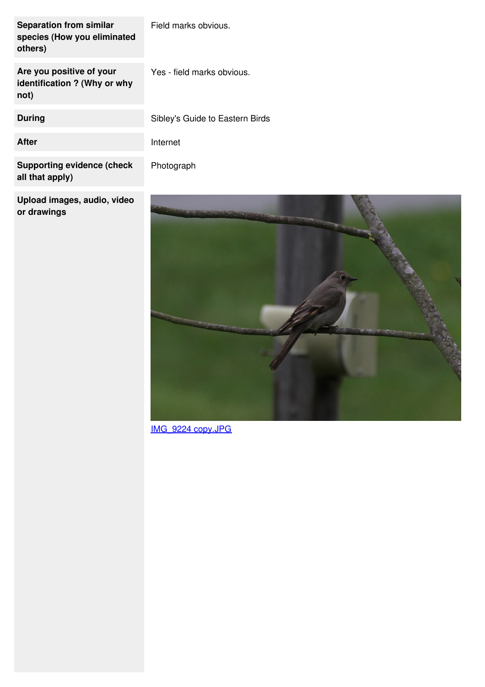| <b>Separation from similar</b><br>species (How you eliminated<br>others) | Field marks obvious.            |
|--------------------------------------------------------------------------|---------------------------------|
| Are you positive of your<br>identification ? (Why or why<br>not)         | Yes - field marks obvious.      |
| During                                                                   | Sibley's Guide to Eastern Birds |
| After                                                                    | Internet                        |
| <b>Supporting evidence (check</b><br>all that apply)                     | Photograph                      |

**Upload images, audio, video or drawings**



[IMG\\_9224](https://www.jotform.com/uploads/porcforms/22068006649151/4056124457229125866/IMG_9224 copy.JPG) copy.JPG